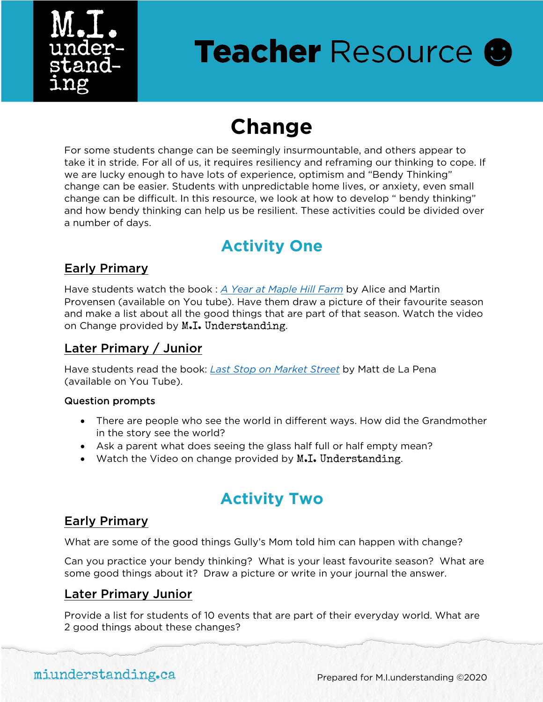

# **Teacher Resource @**

## **Change**

For some students change can be seemingly insurmountable, and others appear to take it in stride. For all of us, it requires resiliency and reframing our thinking to cope. If we are lucky enough to have lots of experience, optimism and "Bendy Thinking" change can be easier. Students with unpredictable home lives, or anxiety, even small change can be difficult. In this resource, we look at how to develop " bendy thinking" and how bendy thinking can help us be resilient. These activities could be divided over a number of days.

### **Activity One**

#### Early Primary

Have students watch the book : *A Year at Maple Hill Farm* by Alice and Martin Provensen (available on You tube). Have them draw a picture of their favourite season and make a list about all the good things that are part of that season. Watch the video on Change provided by M.I. Understanding.

#### Later Primary / Junior

Have students read the book: *Last Stop on Market Street* by Matt de La Pena (available on You Tube).

#### Question prompts

- There are people who see the world in different ways. How did the Grandmother in the story see the world?
- Ask a parent what does seeing the glass half full or half empty mean?
- Watch the Video on change provided by M.I. Understanding.

### **Activity Two**

#### Early Primary

What are some of the good things Gully's Mom told him can happen with change?

Can you practice your bendy thinking? What is your least favourite season? What are some good things about it? Draw a picture or write in your journal the answer.

#### Later Primary Junior

Provide a list for students of 10 events that are part of their everyday world. What are 2 good things about these changes?